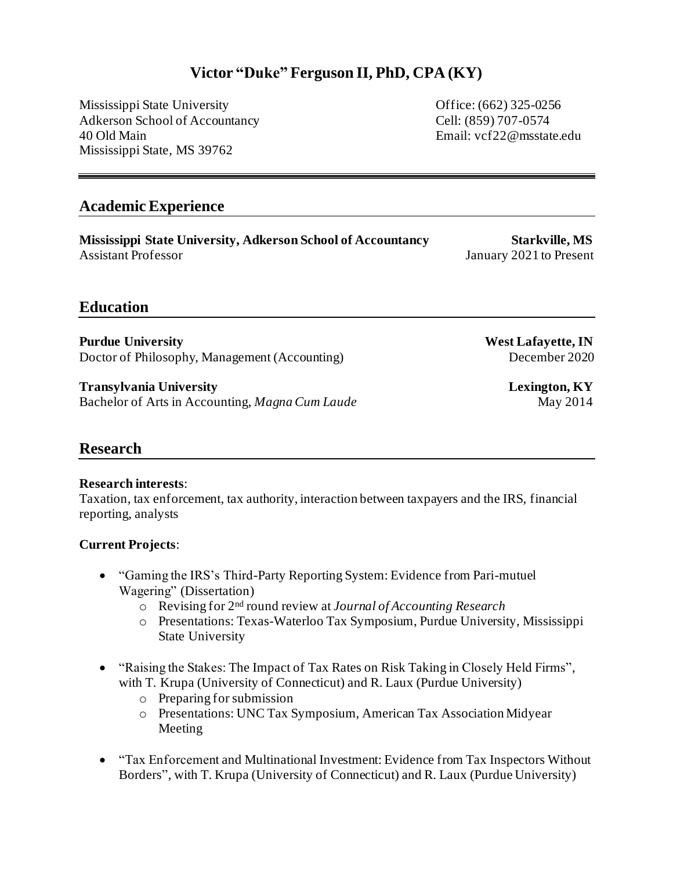## **Victor "Duke" Ferguson II, PhD, CPA (KY)**

Mississippi State University Office: (662) 325-0256 Adkerson School of Accountancy Cell: (859) 707-0574 40 Old Main Email: vcf22@msstate.edu Mississippi State, MS 39762

### **Academic Experience**

**Mississippi State University, Adkerson School of Accountancy Starkville, MS** Assistant Professor January 2021 to Present

## **Education**

**Purdue University New York 2008 Service Service Service Service Service Service Service Service Service Service Service Service Service Service Service Service Service Service Service Service Service Service Service Servi** Doctor of Philosophy, Management (Accounting) December 2020

**Transylvania University Lexington, KY** Bachelor of Arts in Accounting, *Magna Cum Laude* May 2014

## **Research**

#### **Research interests**:

Taxation, tax enforcement, tax authority, interaction between taxpayers and the IRS, financial reporting, analysts

#### **Current Projects**:

- "Gaming the IRS's Third-Party Reporting System: Evidence from Pari-mutuel Wagering" (Dissertation)
	- o Revising for 2nd round review at *Journal of Accounting Research*
	- o Presentations: Texas-Waterloo Tax Symposium, Purdue University, Mississippi State University
- "Raising the Stakes: The Impact of Tax Rates on Risk Taking in Closely Held Firms", with T. Krupa (University of Connecticut) and R. Laux (Purdue University)
	- o Preparing for submission
	- o Presentations: UNC Tax Symposium, American Tax Association Midyear Meeting
- "Tax Enforcement and Multinational Investment: Evidence from Tax Inspectors Without Borders", with T. Krupa (University of Connecticut) and R. Laux (Purdue University)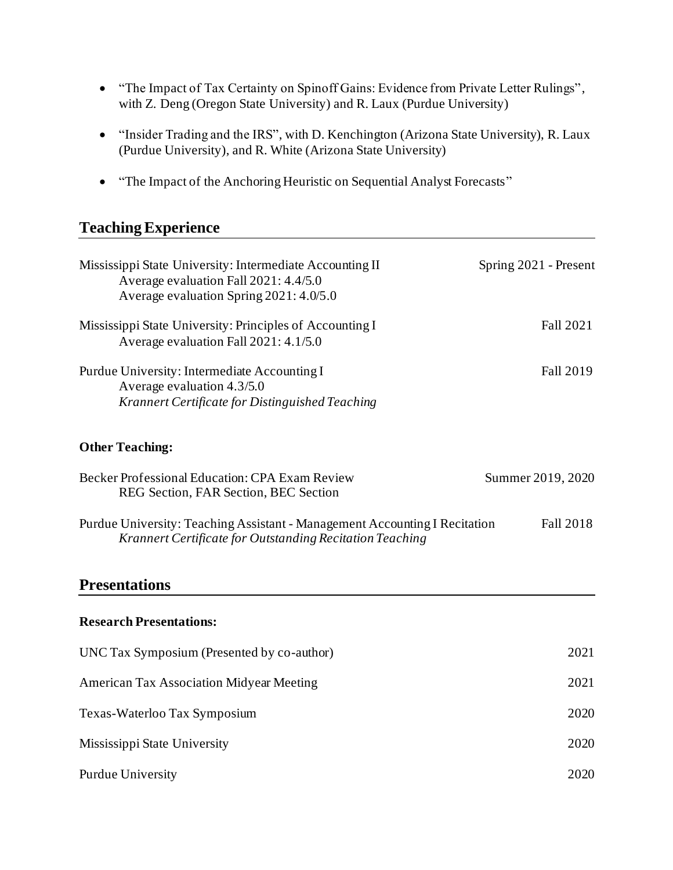- "The Impact of Tax Certainty on Spinoff Gains: Evidence from Private Letter Rulings", with Z. Deng (Oregon State University) and R. Laux (Purdue University)
- "Insider Trading and the IRS", with D. Kenchington (Arizona State University), R. Laux (Purdue University), and R. White (Arizona State University)
- "The Impact of the Anchoring Heuristic on Sequential Analyst Forecasts"

# **Teaching Experience**

| Mississippi State University: Intermediate Accounting II<br>Average evaluation Fall 2021: 4.4/5.0<br>Average evaluation Spring 2021: 4.0/5.0 | Spring 2021 - Present |
|----------------------------------------------------------------------------------------------------------------------------------------------|-----------------------|
| Mississippi State University: Principles of Accounting I<br>Average evaluation Fall 2021: 4.1/5.0                                            | Fall 2021             |
| Purdue University: Intermediate Accounting I<br>Average evaluation 4.3/5.0<br>Krannert Certificate for Distinguished Teaching                | Fall 2019             |
| <b>Other Teaching:</b>                                                                                                                       |                       |
| Becker Professional Education: CPA Exam Review<br>REG Section, FAR Section, BEC Section                                                      | Summer 2019, 2020     |
| Purdue University: Teaching Assistant - Management Accounting I Recitation<br>Krannert Certificate for Outstanding Recitation Teaching       | Fall 2018             |
| <b>Presentations</b>                                                                                                                         |                       |
| <b>Research Presentations:</b>                                                                                                               |                       |
| UNC Tax Symposium (Presented by co-author)                                                                                                   | 2021                  |
| <b>American Tax Association Midyear Meeting</b>                                                                                              | 2021                  |
| Texas-Waterloo Tax Symposium                                                                                                                 | 2020                  |
| Mississippi State University                                                                                                                 | 2020                  |
| <b>Purdue University</b>                                                                                                                     | 2020                  |